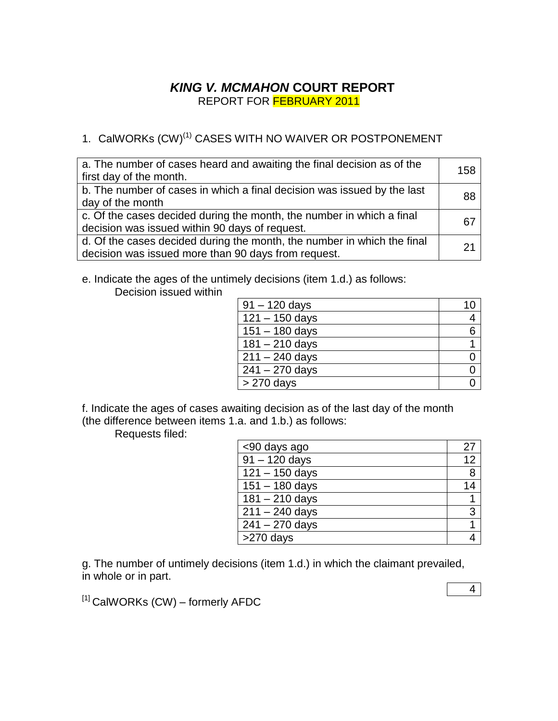## *KING V. MCMAHON* **COURT REPORT** REPORT FOR FEBRUARY 2011

# 1. CalWORKs (CW)<sup>(1)</sup> CASES WITH NO WAIVER OR POSTPONEMENT

| a. The number of cases heard and awaiting the final decision as of the<br>first day of the month.                              | 158 |
|--------------------------------------------------------------------------------------------------------------------------------|-----|
| b. The number of cases in which a final decision was issued by the last<br>day of the month                                    | 88  |
| c. Of the cases decided during the month, the number in which a final<br>decision was issued within 90 days of request.        | 67  |
| d. Of the cases decided during the month, the number in which the final<br>decision was issued more than 90 days from request. | 21  |

e. Indicate the ages of the untimely decisions (item 1.d.) as follows: Decision issued within

| $91 - 120$ days  |   |
|------------------|---|
| $121 - 150$ days |   |
| $151 - 180$ days | 6 |
| $181 - 210$ days |   |
| $211 - 240$ days |   |
| $241 - 270$ days |   |
| $>270$ days      |   |

f. Indicate the ages of cases awaiting decision as of the last day of the month (the difference between items 1.a. and 1.b.) as follows:

Requests filed:

| <90 days ago                | 27 |
|-----------------------------|----|
| $\sqrt{91 - 120}$ days      | 12 |
| $121 - 150$ days            | 8  |
| $151 - 180$ days            | 14 |
| $\overline{181} - 210$ days |    |
| $\sqrt{211} - 240$ days     | 3  |
| $241 - 270$ days            |    |
| >270 days                   |    |

g. The number of untimely decisions (item 1.d.) in which the claimant prevailed, in whole or in part.

 $[1]$  CalWORKs (CW) – formerly AFDC

4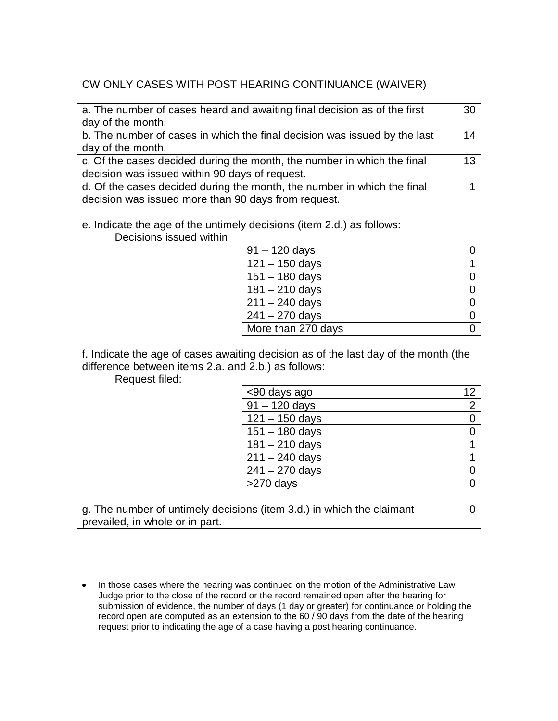## CW ONLY CASES WITH POST HEARING CONTINUANCE (WAIVER)

| a. The number of cases heard and awaiting final decision as of the first  | 30 |
|---------------------------------------------------------------------------|----|
| day of the month.                                                         |    |
| b. The number of cases in which the final decision was issued by the last | 14 |
| day of the month.                                                         |    |
| c. Of the cases decided during the month, the number in which the final   | 13 |
| decision was issued within 90 days of request.                            |    |
| d. Of the cases decided during the month, the number in which the final   |    |
| decision was issued more than 90 days from request.                       |    |

#### e. Indicate the age of the untimely decisions (item 2.d.) as follows:

Decisions issued within

| $91 - 120$ days    |  |
|--------------------|--|
| $121 - 150$ days   |  |
| $151 - 180$ days   |  |
| $181 - 210$ days   |  |
| $211 - 240$ days   |  |
| $241 - 270$ days   |  |
| More than 270 days |  |

f. Indicate the age of cases awaiting decision as of the last day of the month (the difference between items 2.a. and 2.b.) as follows:

Request filed:

| <90 days ago              | 12             |
|---------------------------|----------------|
| $\frac{1}{91} - 120$ days | $\overline{2}$ |
| $121 - 150$ days          | ი              |
| $151 - 180$ days          |                |
| $181 - 210$ days          |                |
| $211 - 240$ days          |                |
| $241 - 270$ days          |                |
| >270 days                 |                |

g. The number of untimely decisions (item 3.d.) in which the claimant prevailed, in whole or in part.

0

• In those cases where the hearing was continued on the motion of the Administrative Law Judge prior to the close of the record or the record remained open after the hearing for submission of evidence, the number of days (1 day or greater) for continuance or holding the record open are computed as an extension to the 60 / 90 days from the date of the hearing request prior to indicating the age of a case having a post hearing continuance.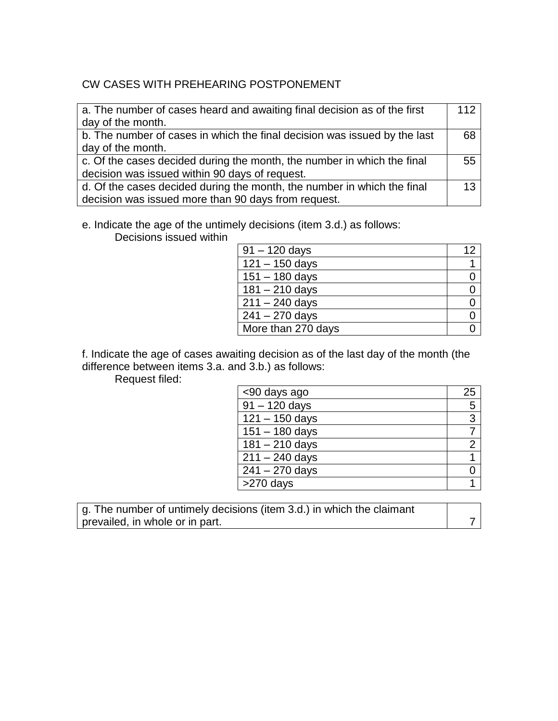## CW CASES WITH PREHEARING POSTPONEMENT

| a. The number of cases heard and awaiting final decision as of the first  | 112 |
|---------------------------------------------------------------------------|-----|
| day of the month.                                                         |     |
| b. The number of cases in which the final decision was issued by the last | 68  |
| day of the month.                                                         |     |
| c. Of the cases decided during the month, the number in which the final   | 55  |
| decision was issued within 90 days of request.                            |     |
| d. Of the cases decided during the month, the number in which the final   | 13  |
| decision was issued more than 90 days from request.                       |     |

e. Indicate the age of the untimely decisions (item 3.d.) as follows:

Decisions issued within

| $91 - 120$ days    |  |
|--------------------|--|
| $121 - 150$ days   |  |
| $151 - 180$ days   |  |
| $181 - 210$ days   |  |
| $211 - 240$ days   |  |
| $241 - 270$ days   |  |
| More than 270 days |  |

f. Indicate the age of cases awaiting decision as of the last day of the month (the difference between items 3.a. and 3.b.) as follows:

Request filed:

| <90 days ago     | 25             |
|------------------|----------------|
| $91 - 120$ days  | 5              |
| $121 - 150$ days | 3              |
| $151 - 180$ days |                |
| $181 - 210$ days | $\overline{2}$ |
| $211 - 240$ days |                |
| $241 - 270$ days |                |
| >270 days        |                |

g. The number of untimely decisions (item 3.d.) in which the claimant prevailed, in whole or in part. The same state of the state of the state of the state of the state of the state of the state of the state of the state of the state of the state of the state of the state of the state of the